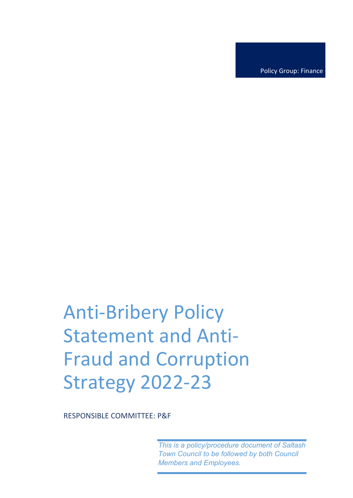Policy Group: Finance

# Anti-Bribery Policy Statement and Anti-Fraud and Corruption Strategy 2022-23

RESPONSIBLE COMMITTEE: P&F

*This is a policy/procedure document of Saltash Town Council to be followed by both Council Members and Employees.*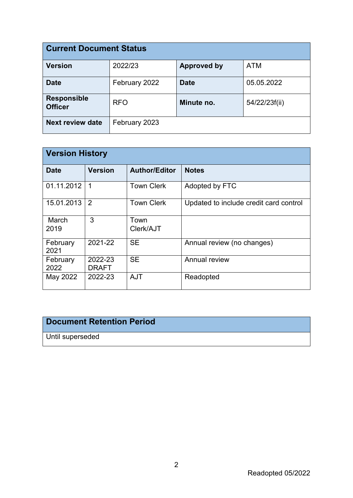| <b>Current Document Status</b>       |               |                    |               |  |
|--------------------------------------|---------------|--------------------|---------------|--|
| <b>Version</b>                       | 2022/23       | <b>Approved by</b> | <b>ATM</b>    |  |
| <b>Date</b>                          | February 2022 | <b>Date</b>        | 05.05.2022    |  |
| <b>Responsible</b><br><b>Officer</b> | <b>RFO</b>    | Minute no.         | 54/22/23f(ii) |  |
| <b>Next review date</b>              | February 2023 |                    |               |  |

| <b>Version History</b> |                         |                      |                                        |  |
|------------------------|-------------------------|----------------------|----------------------------------------|--|
| <b>Date</b>            | <b>Version</b>          | <b>Author/Editor</b> | <b>Notes</b>                           |  |
| 01.11.2012             | 1                       | <b>Town Clerk</b>    | Adopted by FTC                         |  |
| 15.01.2013             | 2                       | <b>Town Clerk</b>    | Updated to include credit card control |  |
| March<br>2019          | 3                       | Town<br>Clerk/AJT    |                                        |  |
| February<br>2021       | 2021-22                 | <b>SE</b>            | Annual review (no changes)             |  |
| February<br>2022       | 2022-23<br><b>DRAFT</b> | <b>SE</b>            | Annual review                          |  |
| May 2022               | 2022-23                 | <b>AJT</b>           | Readopted                              |  |

## **Document Retention Period**

Until superseded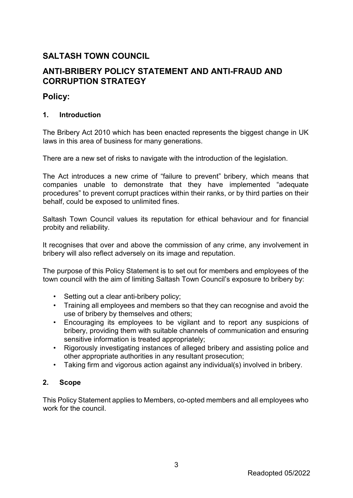## **SALTASH TOWN COUNCIL**

## **ANTI-BRIBERY POLICY STATEMENT AND ANTI-FRAUD AND CORRUPTION STRATEGY**

### **Policy:**

#### **1. Introduction**

The Bribery Act 2010 which has been enacted represents the biggest change in UK laws in this area of business for many generations.

There are a new set of risks to navigate with the introduction of the legislation.

The Act introduces a new crime of "failure to prevent" bribery, which means that companies unable to demonstrate that they have implemented "adequate procedures" to prevent corrupt practices within their ranks, or by third parties on their behalf, could be exposed to unlimited fines.

Saltash Town Council values its reputation for ethical behaviour and for financial probity and reliability.

It recognises that over and above the commission of any crime, any involvement in bribery will also reflect adversely on its image and reputation.

The purpose of this Policy Statement is to set out for members and employees of the town council with the aim of limiting Saltash Town Council's exposure to bribery by:

- Setting out a clear anti-bribery policy;
- Training all employees and members so that they can recognise and avoid the use of bribery by themselves and others;
- Encouraging its employees to be vigilant and to report any suspicions of bribery, providing them with suitable channels of communication and ensuring sensitive information is treated appropriately;
- Rigorously investigating instances of alleged bribery and assisting police and other appropriate authorities in any resultant prosecution;
- Taking firm and vigorous action against any individual(s) involved in bribery.

#### **2. Scope**

This Policy Statement applies to Members, co-opted members and all employees who work for the council.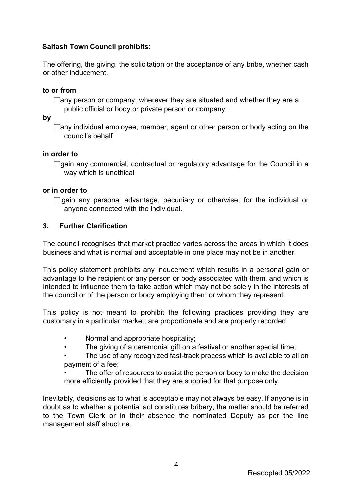#### **Saltash Town Council prohibits**:

The offering, the giving, the solicitation or the acceptance of any bribe, whether cash or other inducement.

#### **to or from**

 $\Box$ any person or company, wherever they are situated and whether they are a public official or body or private person or company

**by** 

 $\Box$ any individual employee, member, agent or other person or body acting on the council's behalf

#### **in order to**

 $\Box$ gain any commercial, contractual or regulatory advantage for the Council in a way which is unethical

#### **or in order to**

 $\Box$  gain any personal advantage, pecuniary or otherwise, for the individual or anyone connected with the individual.

#### **3. Further Clarification**

The council recognises that market practice varies across the areas in which it does business and what is normal and acceptable in one place may not be in another.

This policy statement prohibits any inducement which results in a personal gain or advantage to the recipient or any person or body associated with them, and which is intended to influence them to take action which may not be solely in the interests of the council or of the person or body employing them or whom they represent.

This policy is not meant to prohibit the following practices providing they are customary in a particular market, are proportionate and are properly recorded:

- Normal and appropriate hospitality;
- The giving of a ceremonial gift on a festival or another special time;

The use of any recognized fast-track process which is available to all on payment of a fee;

The offer of resources to assist the person or body to make the decision more efficiently provided that they are supplied for that purpose only.

Inevitably, decisions as to what is acceptable may not always be easy. If anyone is in doubt as to whether a potential act constitutes bribery, the matter should be referred to the Town Clerk or in their absence the nominated Deputy as per the line management staff structure.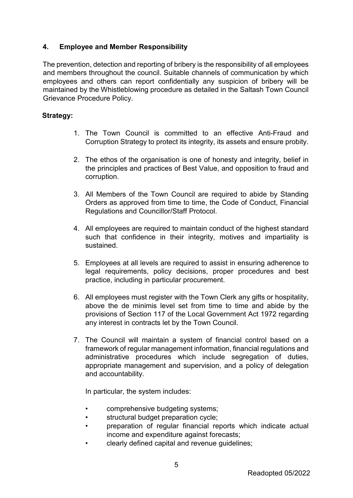#### **4. Employee and Member Responsibility**

The prevention, detection and reporting of bribery is the responsibility of all employees and members throughout the council. Suitable channels of communication by which employees and others can report confidentially any suspicion of bribery will be maintained by the Whistleblowing procedure as detailed in the Saltash Town Council Grievance Procedure Policy.

#### **Strategy:**

- 1. The Town Council is committed to an effective Anti-Fraud and Corruption Strategy to protect its integrity, its assets and ensure probity.
- 2. The ethos of the organisation is one of honesty and integrity, belief in the principles and practices of Best Value, and opposition to fraud and corruption.
- 3. All Members of the Town Council are required to abide by Standing Orders as approved from time to time, the Code of Conduct, Financial Regulations and Councillor/Staff Protocol.
- 4. All employees are required to maintain conduct of the highest standard such that confidence in their integrity, motives and impartiality is sustained.
- 5. Employees at all levels are required to assist in ensuring adherence to legal requirements, policy decisions, proper procedures and best practice, including in particular procurement.
- 6. All employees must register with the Town Clerk any gifts or hospitality, above the de minimis level set from time to time and abide by the provisions of Section 117 of the Local Government Act 1972 regarding any interest in contracts let by the Town Council.
- 7. The Council will maintain a system of financial control based on a framework of regular management information, financial regulations and administrative procedures which include segregation of duties, appropriate management and supervision, and a policy of delegation and accountability.

In particular, the system includes:

- comprehensive budgeting systems;
- structural budget preparation cycle;
- preparation of regular financial reports which indicate actual income and expenditure against forecasts;
- clearly defined capital and revenue guidelines;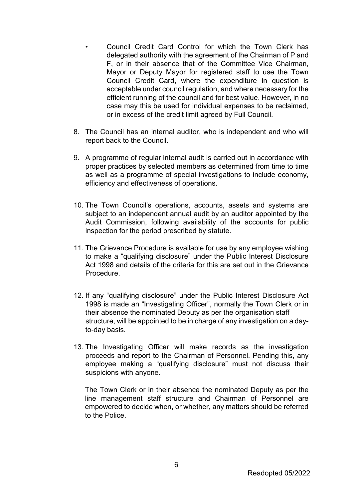- Council Credit Card Control for which the Town Clerk has delegated authority with the agreement of the Chairman of P and F, or in their absence that of the Committee Vice Chairman, Mayor or Deputy Mayor for registered staff to use the Town Council Credit Card, where the expenditure in question is acceptable under council regulation, and where necessary for the efficient running of the council and for best value. However, in no case may this be used for individual expenses to be reclaimed, or in excess of the credit limit agreed by Full Council.
- 8. The Council has an internal auditor, who is independent and who will report back to the Council.
- 9. A programme of regular internal audit is carried out in accordance with proper practices by selected members as determined from time to time as well as a programme of special investigations to include economy, efficiency and effectiveness of operations.
- 10. The Town Council's operations, accounts, assets and systems are subject to an independent annual audit by an auditor appointed by the Audit Commission, following availability of the accounts for public inspection for the period prescribed by statute.
- 11. The Grievance Procedure is available for use by any employee wishing to make a "qualifying disclosure" under the Public Interest Disclosure Act 1998 and details of the criteria for this are set out in the Grievance Procedure.
- 12. If any "qualifying disclosure" under the Public Interest Disclosure Act 1998 is made an "Investigating Officer", normally the Town Clerk or in their absence the nominated Deputy as per the organisation staff structure, will be appointed to be in charge of any investigation on a dayto-day basis.
- 13. The Investigating Officer will make records as the investigation proceeds and report to the Chairman of Personnel. Pending this, any employee making a "qualifying disclosure" must not discuss their suspicions with anyone.

The Town Clerk or in their absence the nominated Deputy as per the line management staff structure and Chairman of Personnel are empowered to decide when, or whether, any matters should be referred to the Police.